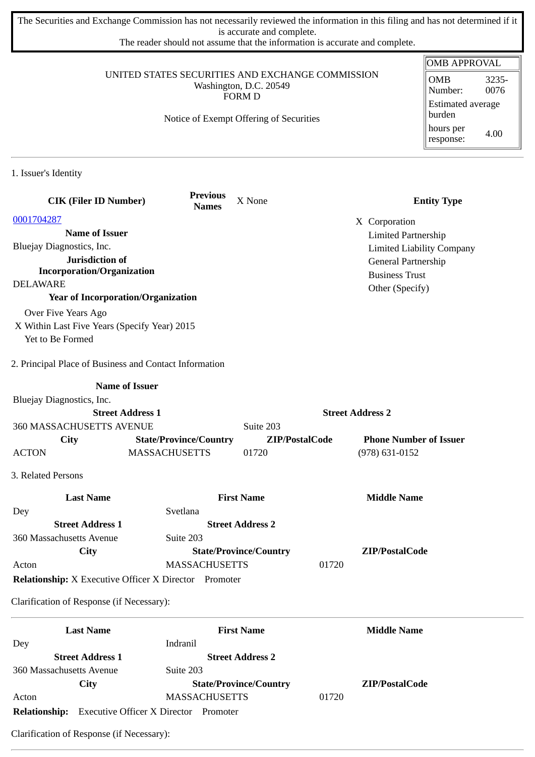The Securities and Exchange Commission has not necessarily reviewed the information in this filing and has not determined if it is accurate and complete.

The reader should not assume that the information is accurate and complete.

|                                                                                             |                                         |                               |                         | <b>OMB APPROVAL</b>                    |
|---------------------------------------------------------------------------------------------|-----------------------------------------|-------------------------------|-------------------------|----------------------------------------|
| UNITED STATES SECURITIES AND EXCHANGE COMMISSION<br>Washington, D.C. 20549<br><b>FORM D</b> |                                         |                               |                         | <b>OMB</b><br>3235-<br>Number:<br>0076 |
|                                                                                             | <b>Estimated average</b><br>burden      |                               |                         |                                        |
|                                                                                             | Notice of Exempt Offering of Securities |                               |                         | hours per<br>4.00<br>response:         |
| 1. Issuer's Identity                                                                        |                                         |                               |                         |                                        |
| <b>CIK (Filer ID Number)</b>                                                                | <b>Previous</b><br><b>Names</b>         | X None                        |                         | <b>Entity Type</b>                     |
| 0001704287                                                                                  |                                         |                               | X Corporation           |                                        |
| <b>Name of Issuer</b>                                                                       |                                         |                               |                         | <b>Limited Partnership</b>             |
| Bluejay Diagnostics, Inc.                                                                   |                                         |                               |                         | <b>Limited Liability Company</b>       |
| Jurisdiction of                                                                             |                                         |                               |                         | General Partnership                    |
| <b>Incorporation/Organization</b>                                                           |                                         |                               | <b>Business Trust</b>   |                                        |
| <b>DELAWARE</b>                                                                             |                                         |                               | Other (Specify)         |                                        |
| <b>Year of Incorporation/Organization</b>                                                   |                                         |                               |                         |                                        |
| Over Five Years Ago                                                                         |                                         |                               |                         |                                        |
| X Within Last Five Years (Specify Year) 2015<br>Yet to Be Formed                            |                                         |                               |                         |                                        |
|                                                                                             |                                         |                               |                         |                                        |
| 2. Principal Place of Business and Contact Information                                      |                                         |                               |                         |                                        |
|                                                                                             | <b>Name of Issuer</b>                   |                               |                         |                                        |
| Bluejay Diagnostics, Inc.                                                                   |                                         |                               |                         |                                        |
|                                                                                             | <b>Street Address 1</b>                 |                               | <b>Street Address 2</b> |                                        |
| 360 MASSACHUSETTS AVENUE                                                                    |                                         | Suite 203                     |                         |                                        |
| City                                                                                        | <b>State/Province/Country</b>           | ZIP/PostalCode                |                         | <b>Phone Number of Issuer</b>          |
| <b>ACTON</b>                                                                                | <b>MASSACHUSETTS</b>                    | 01720                         | $(978) 631 - 0152$      |                                        |
| 3. Related Persons                                                                          |                                         |                               |                         |                                        |
|                                                                                             |                                         |                               |                         |                                        |
| <b>Last Name</b>                                                                            | Svetlana                                | <b>First Name</b>             | <b>Middle Name</b>      |                                        |
| Dey<br><b>Street Address 1</b>                                                              |                                         | <b>Street Address 2</b>       |                         |                                        |
| 360 Massachusetts Avenue                                                                    | Suite 203                               |                               |                         |                                        |
| City                                                                                        |                                         | <b>State/Province/Country</b> | ZIP/PostalCode          |                                        |
| Acton                                                                                       | <b>MASSACHUSETTS</b>                    |                               | 01720                   |                                        |
| <b>Relationship:</b> X Executive Officer X Director Promoter                                |                                         |                               |                         |                                        |
| Clarification of Response (if Necessary):                                                   |                                         |                               |                         |                                        |
| <b>Last Name</b>                                                                            |                                         | <b>First Name</b>             | <b>Middle Name</b>      |                                        |
| Dey                                                                                         | Indranil                                |                               |                         |                                        |
| <b>Street Address 1</b>                                                                     |                                         | <b>Street Address 2</b>       |                         |                                        |
| 360 Massachusetts Avenue                                                                    | Suite 203                               |                               |                         |                                        |
| City                                                                                        |                                         | <b>State/Province/Country</b> | ZIP/PostalCode          |                                        |

**Relationship:** Executive Officer X Director Promoter

Acton MASSACHUSETTS 01720

Clarification of Response (if Necessary):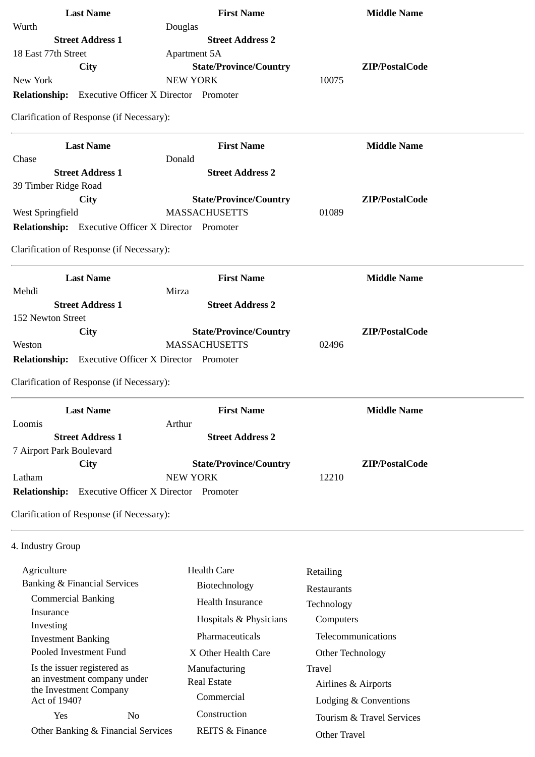| <b>Last Name</b>                                           | <b>First Name</b>             | <b>Middle Name</b>        |
|------------------------------------------------------------|-------------------------------|---------------------------|
| Wurth                                                      | Douglas                       |                           |
| <b>Street Address 1</b>                                    | <b>Street Address 2</b>       |                           |
| 18 East 77th Street                                        | Apartment 5A                  |                           |
| City                                                       | <b>State/Province/Country</b> | ZIP/PostalCode            |
| New York                                                   | <b>NEW YORK</b>               | 10075                     |
| <b>Relationship:</b> Executive Officer X Director Promoter |                               |                           |
| Clarification of Response (if Necessary):                  |                               |                           |
| <b>Last Name</b>                                           | <b>First Name</b>             | <b>Middle Name</b>        |
| Chase                                                      | Donald                        |                           |
| <b>Street Address 1</b>                                    | <b>Street Address 2</b>       |                           |
| 39 Timber Ridge Road                                       |                               |                           |
| City                                                       | <b>State/Province/Country</b> | ZIP/PostalCode            |
| West Springfield                                           | <b>MASSACHUSETTS</b>          | 01089                     |
| Relationship: Executive Officer X Director Promoter        |                               |                           |
| Clarification of Response (if Necessary):                  |                               |                           |
| <b>Last Name</b>                                           | <b>First Name</b>             | <b>Middle Name</b>        |
| Mehdi                                                      | Mirza                         |                           |
| <b>Street Address 1</b>                                    | <b>Street Address 2</b>       |                           |
| 152 Newton Street                                          |                               |                           |
| <b>City</b>                                                | <b>State/Province/Country</b> | ZIP/PostalCode            |
| Weston                                                     | <b>MASSACHUSETTS</b>          | 02496                     |
| <b>Relationship:</b> Executive Officer X Director Promoter |                               |                           |
| Clarification of Response (if Necessary):                  |                               |                           |
| <b>Last Name</b>                                           | <b>First Name</b>             | <b>Middle Name</b>        |
| Loomis                                                     | Arthur                        |                           |
| <b>Street Address 1</b>                                    | <b>Street Address 2</b>       |                           |
| 7 Airport Park Boulevard<br><b>City</b>                    | <b>State/Province/Country</b> | ZIP/PostalCode            |
| Latham                                                     | <b>NEW YORK</b>               | 12210                     |
| <b>Relationship:</b> Executive Officer X Director Promoter |                               |                           |
|                                                            |                               |                           |
| Clarification of Response (if Necessary):                  |                               |                           |
| 4. Industry Group                                          |                               |                           |
| Agriculture                                                | <b>Health Care</b>            |                           |
| <b>Banking &amp; Financial Services</b>                    | Biotechnology                 | Retailing                 |
| <b>Commercial Banking</b>                                  |                               | Restaurants               |
| Insurance                                                  | <b>Health Insurance</b>       | Technology                |
| Investing                                                  | Hospitals & Physicians        | Computers                 |
| <b>Investment Banking</b>                                  | Pharmaceuticals               | Telecommunications        |
| Pooled Investment Fund                                     | X Other Health Care           | Other Technology          |
| Is the issuer registered as                                | Manufacturing                 | Travel                    |
| an investment company under                                | <b>Real Estate</b>            | Airlines & Airports       |
| the Investment Company                                     | Commercial                    |                           |
| Act of 1940?                                               |                               | Lodging & Conventions     |
| No<br>Yes                                                  | Construction                  | Tourism & Travel Services |

Other Banking & Financial Services

Other Travel

REITS & Finance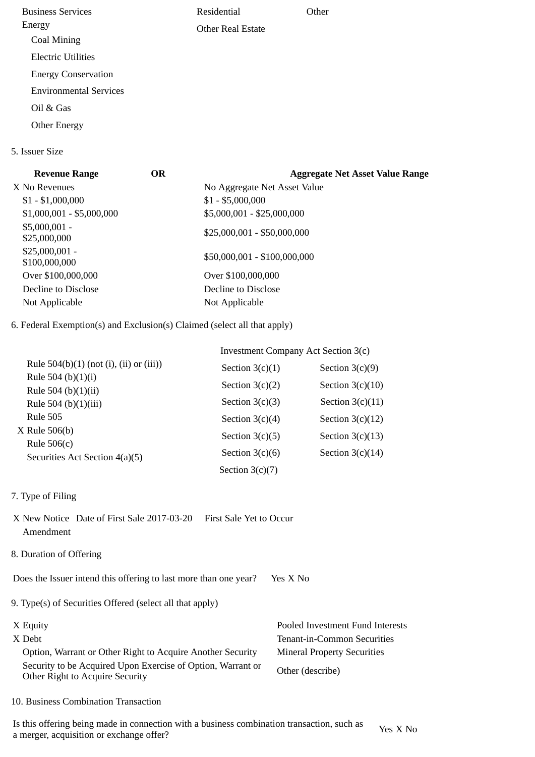Business Services Energy Coal Mining Electric Utilities Energy Conservation Environmental Services Oil & Gas Other Energy Residential Other Real Estate **Other** 5. Issuer Size

| <b>OR</b> | <b>Aggregate Net Asset Value Range</b> |
|-----------|----------------------------------------|
|           | No Aggregate Net Asset Value           |
|           | $$1 - $5,000,000$                      |
|           | \$5,000,001 - \$25,000,000             |
|           | \$25,000,001 - \$50,000,000            |
|           | \$50,000,001 - \$100,000,000           |
|           | Over \$100,000,000                     |
|           | Decline to Disclose                    |
|           | Not Applicable                         |
|           |                                        |

6. Federal Exemption(s) and Exclusion(s) Claimed (select all that apply)

|                                                 | Investment Company Act Section 3(c) |                    |  |
|-------------------------------------------------|-------------------------------------|--------------------|--|
| Rule $504(b)(1)$ (not (i), (ii) or (iii))       | Section $3(c)(1)$                   | Section $3(c)(9)$  |  |
| Rule 504 (b) $(1)(i)$<br>Rule 504 (b) $(1)(ii)$ | Section $3(c)(2)$                   | Section $3(c)(10)$ |  |
| Rule 504 (b) $(1)(iii)$                         | Section $3(c)(3)$                   | Section $3(c)(11)$ |  |
| <b>Rule 505</b>                                 | Section $3(c)(4)$                   | Section $3(c)(12)$ |  |
| X Rule 506(b)<br>Rule $506(c)$                  | Section $3(c)(5)$                   | Section $3(c)(13)$ |  |
| Securities Act Section 4(a)(5)                  | Section $3(c)(6)$                   | Section $3(c)(14)$ |  |
|                                                 | Section $3(c)(7)$                   |                    |  |

- 7. Type of Filing
- X New Notice Date of First Sale 2017-03-20 First Sale Yet to Occur Amendment
- 8. Duration of Offering

Does the Issuer intend this offering to last more than one year? Yes X No

9. Type(s) of Securities Offered (select all that apply)

| X Equity                                                                                       | Pooled Investment Fund Interests   |
|------------------------------------------------------------------------------------------------|------------------------------------|
| X Debt                                                                                         | Tenant-in-Common Securities        |
| Option, Warrant or Other Right to Acquire Another Security                                     | <b>Mineral Property Securities</b> |
| Security to be Acquired Upon Exercise of Option, Warrant or<br>Other Right to Acquire Security | Other (describe)                   |

10. Business Combination Transaction

Is this offering being made in connection with a business combination transaction, such as is this oriening being made in connection with a business combination transaction, such as  $Y$ es X No a merger, acquisition or exchange offer?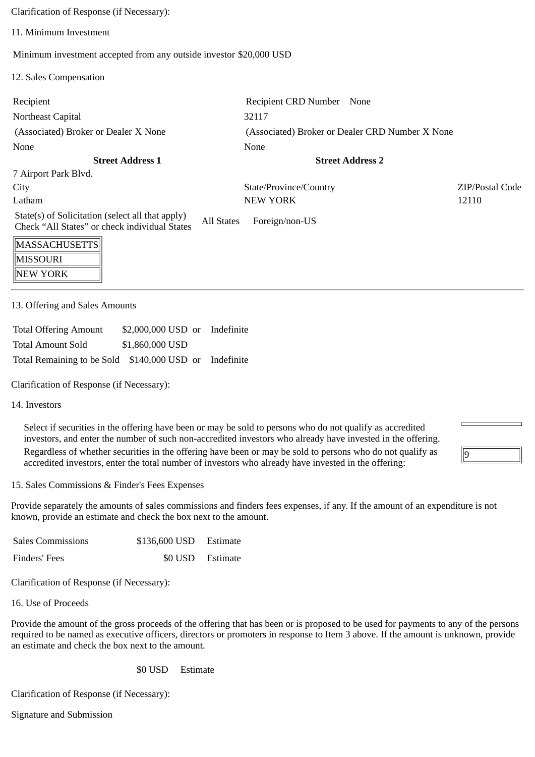Clarification of Response (if Necessary):

11. Minimum Investment

Minimum investment accepted from any outside investor \$20,000 USD

12. Sales Compensation

| Recipient                                                                                         |            | Recipient CRD Number None                       |  |                 |
|---------------------------------------------------------------------------------------------------|------------|-------------------------------------------------|--|-----------------|
| Northeast Capital                                                                                 |            | 32117                                           |  |                 |
| (Associated) Broker or Dealer X None                                                              |            | (Associated) Broker or Dealer CRD Number X None |  |                 |
| None                                                                                              |            | None                                            |  |                 |
| <b>Street Address 1</b>                                                                           |            | <b>Street Address 2</b>                         |  |                 |
| 7 Airport Park Blvd.                                                                              |            |                                                 |  |                 |
| City                                                                                              |            | State/Province/Country                          |  | ZIP/Postal Code |
| Latham                                                                                            |            | <b>NEW YORK</b>                                 |  | 12110           |
| State(s) of Solicitation (select all that apply)<br>Check "All States" or check individual States | All States | Foreign/non-US                                  |  |                 |
| MASSACHUSETTS                                                                                     |            |                                                 |  |                 |

| 1101/199/19109E11911 |
|----------------------|
| <b>MISSOURI</b>      |
| $\parallel$ NEW YORK |

13. Offering and Sales Amounts

| <b>Total Offering Amount</b>                           | \$2,000,000 USD or Indefinite |  |
|--------------------------------------------------------|-------------------------------|--|
| Total Amount Sold                                      | \$1,860,000 USD               |  |
| Total Remaining to be Sold \$140,000 USD or Indefinite |                               |  |

Clarification of Response (if Necessary):

14. Investors

Select if securities in the offering have been or may be sold to persons who do not qualify as accredited investors, and enter the number of such non-accredited investors who already have invested in the offering.

Regardless of whether securities in the offering have been or may be sold to persons who do not qualify as accredited investors, enter the total number of investors who already have invested in the offering:

15. Sales Commissions & Finder's Fees Expenses

Provide separately the amounts of sales commissions and finders fees expenses, if any. If the amount of an expenditure is not known, provide an estimate and check the box next to the amount.

 $\overline{9}$ 

| <b>Sales Commissions</b> | \$136,600 USD Estimate |  |
|--------------------------|------------------------|--|
| Finders' Fees            | \$0 USD Estimate       |  |

Clarification of Response (if Necessary):

16. Use of Proceeds

Provide the amount of the gross proceeds of the offering that has been or is proposed to be used for payments to any of the persons required to be named as executive officers, directors or promoters in response to Item 3 above. If the amount is unknown, provide an estimate and check the box next to the amount.

\$0 USD Estimate

Clarification of Response (if Necessary):

Signature and Submission